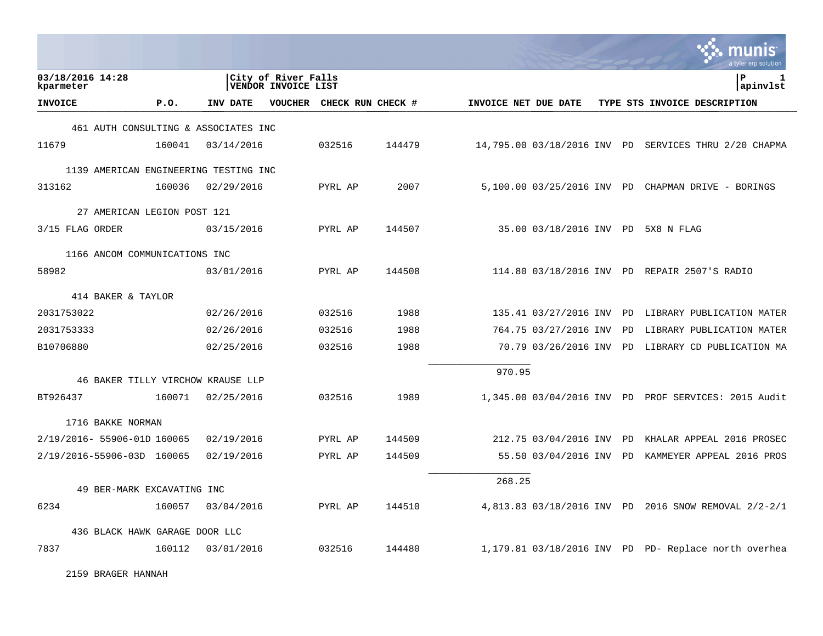|                                       |        |            |                                                   |                   |        |                      |                             |    | nıs<br>a tyler erp solution                          |
|---------------------------------------|--------|------------|---------------------------------------------------|-------------------|--------|----------------------|-----------------------------|----|------------------------------------------------------|
| 03/18/2016 14:28<br>kparmeter         |        |            | City of River Falls<br><b>VENDOR INVOICE LIST</b> |                   |        |                      |                             |    | 1<br>ΙP<br> apinvlst                                 |
| <b>INVOICE</b>                        | P.0.   | INV DATE   | <b>VOUCHER</b>                                    | CHECK RUN CHECK # |        | INVOICE NET DUE DATE |                             |    | TYPE STS INVOICE DESCRIPTION                         |
| 461 AUTH CONSULTING & ASSOCIATES INC  |        |            |                                                   |                   |        |                      |                             |    |                                                      |
| 11679                                 | 160041 | 03/14/2016 |                                                   | 032516            | 144479 |                      | 14,795.00 03/18/2016 INV PD |    | SERVICES THRU 2/20 CHAPMA                            |
| 1139 AMERICAN ENGINEERING TESTING INC |        |            |                                                   |                   |        |                      |                             |    |                                                      |
| 313162                                | 160036 | 02/29/2016 |                                                   | PYRL AP           | 2007   |                      |                             |    | 5,100.00 03/25/2016 INV PD CHAPMAN DRIVE - BORINGS   |
| 27 AMERICAN LEGION POST 121           |        |            |                                                   |                   |        |                      |                             |    |                                                      |
| 3/15 FLAG ORDER                       |        | 03/15/2016 |                                                   | PYRL AP           | 144507 |                      | 35.00 03/18/2016 INV PD     |    | 5X8 N FLAG                                           |
| 1166 ANCOM COMMUNICATIONS INC         |        |            |                                                   |                   |        |                      |                             |    |                                                      |
| 58982                                 |        | 03/01/2016 |                                                   | PYRL AP           | 144508 |                      |                             |    | 114.80 03/18/2016 INV PD REPAIR 2507'S RADIO         |
| 414 BAKER & TAYLOR                    |        |            |                                                   |                   |        |                      |                             |    |                                                      |
| 2031753022                            |        | 02/26/2016 |                                                   | 032516            | 1988   |                      | 135.41 03/27/2016 INV PD    |    | LIBRARY PUBLICATION MATER                            |
| 2031753333                            |        | 02/26/2016 |                                                   | 032516            | 1988   |                      | 764.75 03/27/2016 INV       | PD | LIBRARY PUBLICATION MATER                            |
| B10706880                             |        | 02/25/2016 |                                                   | 032516            | 1988   |                      | 70.79 03/26/2016 INV        | PD | LIBRARY CD PUBLICATION MA                            |
|                                       |        |            |                                                   |                   |        | 970.95               |                             |    |                                                      |
| 46 BAKER TILLY VIRCHOW KRAUSE LLP     |        |            |                                                   |                   |        |                      |                             |    |                                                      |
| BT926437                              | 160071 | 02/25/2016 |                                                   | 032516            | 1989   |                      |                             |    | 1,345.00 03/04/2016 INV PD PROF SERVICES: 2015 Audit |
| 1716 BAKKE NORMAN                     |        |            |                                                   |                   |        |                      |                             |    |                                                      |
| 2/19/2016- 55906-01D 160065           |        | 02/19/2016 |                                                   | PYRL AP           | 144509 |                      | 212.75 03/04/2016 INV PD    |    | KHALAR APPEAL 2016 PROSEC                            |
| 2/19/2016-55906-03D 160065            |        | 02/19/2016 |                                                   | PYRL AP           | 144509 |                      | 55.50 03/04/2016 INV PD     |    | KAMMEYER APPEAL 2016 PROS                            |
|                                       |        |            |                                                   |                   |        | 268.25               |                             |    |                                                      |
| 49 BER-MARK EXCAVATING INC            |        |            |                                                   |                   |        |                      |                             |    |                                                      |
| 6234                                  | 160057 | 03/04/2016 |                                                   | PYRL AP           | 144510 |                      |                             |    | 4,813.83 03/18/2016 INV PD 2016 SNOW REMOVAL 2/2-2/1 |
| 436 BLACK HAWK GARAGE DOOR LLC        |        |            |                                                   |                   |        |                      |                             |    |                                                      |
| 7837                                  | 160112 | 03/01/2016 |                                                   | 032516            | 144480 |                      |                             |    | 1,179.81 03/18/2016 INV PD PD- Replace north overhea |

 $\bullet$ 

2159 BRAGER HANNAH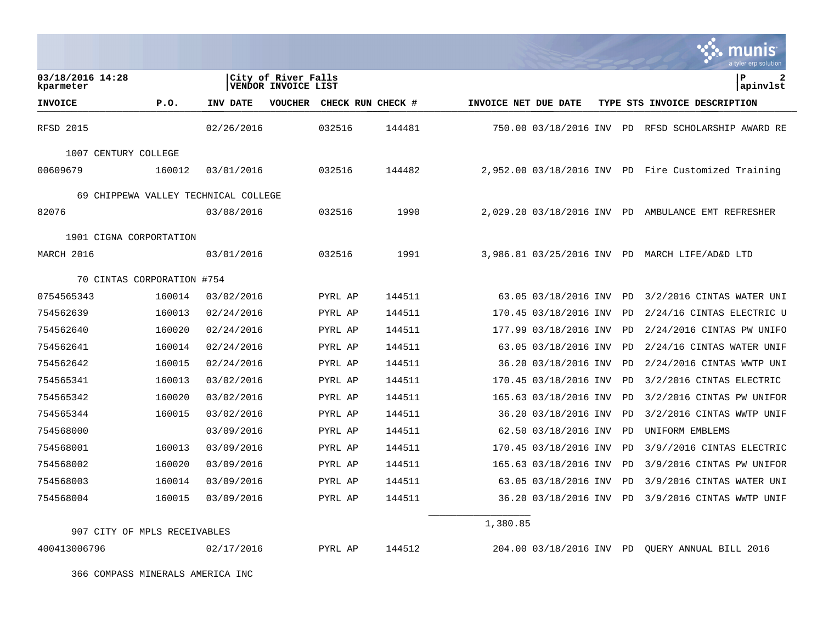|                                      |        |            |                                            |                   |        |                      |                          |           | ः munis<br>a tyler erp solution                     |
|--------------------------------------|--------|------------|--------------------------------------------|-------------------|--------|----------------------|--------------------------|-----------|-----------------------------------------------------|
| 03/18/2016 14:28<br>kparmeter        |        |            | City of River Falls<br>VENDOR INVOICE LIST |                   |        |                      |                          |           | ΙP<br>2<br>apinvlst                                 |
| <b>INVOICE</b>                       | P.0.   | INV DATE   | <b>VOUCHER</b>                             | CHECK RUN CHECK # |        | INVOICE NET DUE DATE |                          |           | TYPE STS INVOICE DESCRIPTION                        |
| <b>RFSD 2015</b>                     |        | 02/26/2016 |                                            | 032516            | 144481 |                      | 750.00 03/18/2016 INV    |           | PD RFSD SCHOLARSHIP AWARD RE                        |
| 1007 CENTURY COLLEGE                 |        |            |                                            |                   |        |                      |                          |           |                                                     |
| 00609679                             | 160012 | 03/01/2016 |                                            | 032516            | 144482 |                      |                          |           | 2,952.00 03/18/2016 INV PD Fire Customized Training |
| 69 CHIPPEWA VALLEY TECHNICAL COLLEGE |        |            |                                            |                   |        |                      |                          |           |                                                     |
| 82076                                |        | 03/08/2016 |                                            | 032516            | 1990   |                      | 2,029.20 03/18/2016 INV  | PD.       | AMBULANCE EMT REFRESHER                             |
| 1901 CIGNA CORPORTATION              |        |            |                                            |                   |        |                      |                          |           |                                                     |
| MARCH 2016                           |        | 03/01/2016 |                                            | 032516            | 1991   |                      | 3,986.81 03/25/2016 INV  | PD        | MARCH LIFE/AD&D LTD                                 |
| 70 CINTAS CORPORATION #754           |        |            |                                            |                   |        |                      |                          |           |                                                     |
| 0754565343                           | 160014 | 03/02/2016 |                                            | PYRL AP           | 144511 |                      | 63.05 03/18/2016 INV     | PD        | 3/2/2016 CINTAS WATER UNI                           |
| 754562639                            | 160013 | 02/24/2016 |                                            | PYRL AP           | 144511 |                      | 170.45 03/18/2016 INV    | <b>PD</b> | 2/24/16 CINTAS ELECTRIC U                           |
| 754562640                            | 160020 | 02/24/2016 |                                            | PYRL AP           | 144511 |                      | 177.99 03/18/2016 INV    | PD        | 2/24/2016 CINTAS PW UNIFO                           |
| 754562641                            | 160014 | 02/24/2016 |                                            | PYRL AP           | 144511 |                      | 63.05 03/18/2016 INV     | <b>PD</b> | 2/24/16 CINTAS WATER UNIF                           |
| 754562642                            | 160015 | 02/24/2016 |                                            | PYRL AP           | 144511 |                      | 36.20 03/18/2016 INV     | <b>PD</b> | 2/24/2016 CINTAS WWTP UNI                           |
| 754565341                            | 160013 | 03/02/2016 |                                            | PYRL AP           | 144511 |                      | 170.45 03/18/2016 INV    | PD        | 3/2/2016 CINTAS ELECTRIC                            |
| 754565342                            | 160020 | 03/02/2016 |                                            | PYRL AP           | 144511 |                      | 165.63 03/18/2016 INV    | <b>PD</b> | 3/2/2016 CINTAS PW UNIFOR                           |
| 754565344                            | 160015 | 03/02/2016 |                                            | PYRL AP           | 144511 |                      | 36.20 03/18/2016 INV     | PD        | $3/2/2016$ CINTAS WWTP UNIF                         |
| 754568000                            |        | 03/09/2016 |                                            | PYRL AP           | 144511 |                      | 62.50 03/18/2016 INV     | <b>PD</b> | UNIFORM EMBLEMS                                     |
| 754568001                            | 160013 | 03/09/2016 |                                            | PYRL AP           | 144511 |                      | 170.45 03/18/2016 INV    | <b>PD</b> | 3/9//2016 CINTAS ELECTRIC                           |
| 754568002                            | 160020 | 03/09/2016 |                                            | PYRL AP           | 144511 |                      | 165.63 03/18/2016 INV    | PD        | 3/9/2016 CINTAS PW UNIFOR                           |
| 754568003                            | 160014 | 03/09/2016 |                                            | PYRL AP           | 144511 |                      | 63.05 03/18/2016 INV     | PD        | 3/9/2016 CINTAS WATER UNI                           |
| 754568004                            | 160015 | 03/09/2016 |                                            | PYRL AP           | 144511 |                      | 36.20 03/18/2016 INV     | <b>PD</b> | 3/9/2016 CINTAS WWTP UNIF                           |
| 907 CITY OF MPLS RECEIVABLES         |        |            |                                            |                   |        | 1,380.85             |                          |           |                                                     |
| 400413006796                         |        | 02/17/2016 |                                            | PYRL AP           | 144512 |                      | 204.00 03/18/2016 INV PD |           | OUERY ANNUAL BILL 2016                              |
| 366 COMPASS MINERALS AMERICA INC     |        |            |                                            |                   |        |                      |                          |           |                                                     |

 $\mathbf{R}$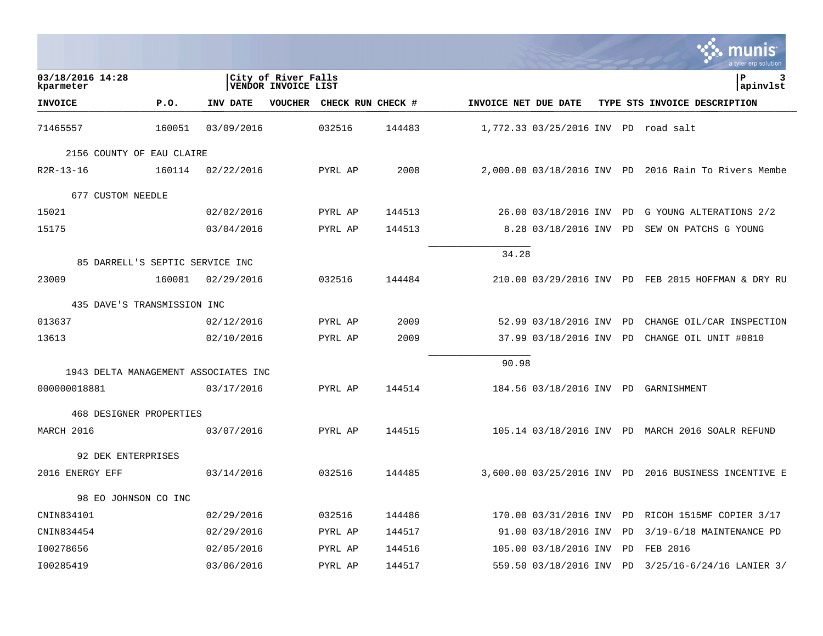|                      |    | INIS<br>a tyler erp solution                                                                                                                                                                                                                                                                                                                                   |
|----------------------|----|----------------------------------------------------------------------------------------------------------------------------------------------------------------------------------------------------------------------------------------------------------------------------------------------------------------------------------------------------------------|
|                      |    | ∣P<br>3<br>apinvlst                                                                                                                                                                                                                                                                                                                                            |
| INVOICE NET DUE DATE |    | TYPE STS INVOICE DESCRIPTION                                                                                                                                                                                                                                                                                                                                   |
|                      | PD | road salt                                                                                                                                                                                                                                                                                                                                                      |
|                      |    |                                                                                                                                                                                                                                                                                                                                                                |
|                      |    | 2016 Rain To Rivers Membe                                                                                                                                                                                                                                                                                                                                      |
|                      |    |                                                                                                                                                                                                                                                                                                                                                                |
|                      |    | G YOUNG ALTERATIONS 2/2                                                                                                                                                                                                                                                                                                                                        |
|                      |    | SEW ON PATCHS G YOUNG                                                                                                                                                                                                                                                                                                                                          |
| 34.28                |    |                                                                                                                                                                                                                                                                                                                                                                |
|                      |    |                                                                                                                                                                                                                                                                                                                                                                |
|                      |    | 210.00 03/29/2016 INV PD FEB 2015 HOFFMAN & DRY RU                                                                                                                                                                                                                                                                                                             |
|                      |    |                                                                                                                                                                                                                                                                                                                                                                |
|                      |    | CHANGE OIL/CAR INSPECTION                                                                                                                                                                                                                                                                                                                                      |
|                      | PD | CHANGE OIL UNIT #0810                                                                                                                                                                                                                                                                                                                                          |
| 90.98                |    |                                                                                                                                                                                                                                                                                                                                                                |
|                      |    |                                                                                                                                                                                                                                                                                                                                                                |
|                      |    |                                                                                                                                                                                                                                                                                                                                                                |
|                      |    |                                                                                                                                                                                                                                                                                                                                                                |
|                      |    | 105.14 03/18/2016 INV PD MARCH 2016 SOALR REFUND                                                                                                                                                                                                                                                                                                               |
|                      |    |                                                                                                                                                                                                                                                                                                                                                                |
|                      |    | 2016 BUSINESS INCENTIVE E                                                                                                                                                                                                                                                                                                                                      |
|                      |    |                                                                                                                                                                                                                                                                                                                                                                |
|                      |    | RICOH 1515MF COPIER 3/17                                                                                                                                                                                                                                                                                                                                       |
|                      |    | 3/19-6/18 MAINTENANCE PD                                                                                                                                                                                                                                                                                                                                       |
|                      |    | FEB 2016                                                                                                                                                                                                                                                                                                                                                       |
|                      |    | 3/25/16-6/24/16 LANIER 3/                                                                                                                                                                                                                                                                                                                                      |
|                      |    | 1,772.33 03/25/2016 INV<br>2,000.00 03/18/2016 INV PD<br>26.00 03/18/2016 INV PD<br>8.28 03/18/2016 INV PD<br>52.99 03/18/2016 INV PD<br>37.99 03/18/2016 INV<br>184.56 03/18/2016 INV PD GARNISHMENT<br>3,600.00 03/25/2016 INV PD<br>170.00 03/31/2016 INV<br>PD<br>91.00 03/18/2016 INV<br>PD<br>105.00 03/18/2016 INV<br>PD<br>559.50 03/18/2016 INV<br>PD |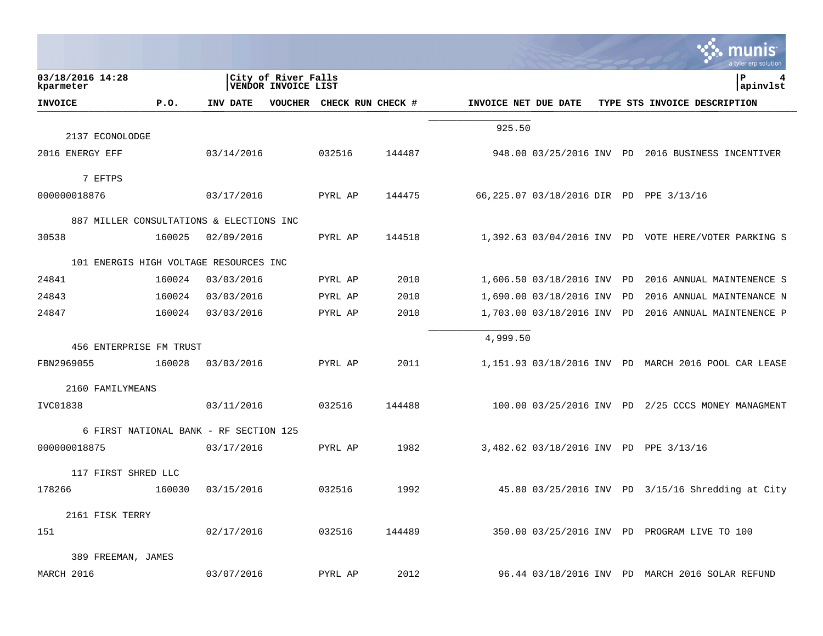|                                          |        |                                        |                                            |                   |        |                      |                            |    | a tyler erp solution                                 |
|------------------------------------------|--------|----------------------------------------|--------------------------------------------|-------------------|--------|----------------------|----------------------------|----|------------------------------------------------------|
| 03/18/2016 14:28<br>kparmeter            |        |                                        | City of River Falls<br>VENDOR INVOICE LIST |                   |        |                      |                            |    | P<br>4<br>apinvlst                                   |
| <b>INVOICE</b>                           | P.0.   | INV DATE                               | <b>VOUCHER</b>                             | CHECK RUN CHECK # |        | INVOICE NET DUE DATE |                            |    | TYPE STS INVOICE DESCRIPTION                         |
|                                          |        |                                        |                                            |                   |        | 925.50               |                            |    |                                                      |
| 2137 ECONOLODGE                          |        |                                        |                                            |                   |        |                      |                            |    |                                                      |
| 2016 ENERGY EFF                          |        | 03/14/2016                             |                                            | 032516            | 144487 |                      |                            |    | 948.00 03/25/2016 INV PD 2016 BUSINESS INCENTIVER    |
| 7 EFTPS                                  |        |                                        |                                            |                   |        |                      |                            |    |                                                      |
| 000000018876                             |        | 03/17/2016                             |                                            | PYRL AP           | 144475 |                      |                            |    | 66,225.07 03/18/2016 DIR PD PPE 3/13/16              |
| 887 MILLER CONSULTATIONS & ELECTIONS INC |        |                                        |                                            |                   |        |                      |                            |    |                                                      |
| 30538                                    | 160025 | 02/09/2016                             |                                            | PYRL AP           | 144518 |                      |                            |    | 1,392.63 03/04/2016 INV PD VOTE HERE/VOTER PARKING S |
| 101 ENERGIS HIGH VOLTAGE RESOURCES INC   |        |                                        |                                            |                   |        |                      |                            |    |                                                      |
| 24841                                    | 160024 | 03/03/2016                             |                                            | PYRL AP           | 2010   |                      | 1,606.50 03/18/2016 INV PD |    | 2016 ANNUAL MAINTENENCE S                            |
| 24843                                    | 160024 | 03/03/2016                             |                                            | PYRL AP           | 2010   |                      | 1,690.00 03/18/2016 INV    | PD | 2016 ANNUAL MAINTENANCE N                            |
| 24847                                    | 160024 | 03/03/2016                             |                                            | PYRL AP           | 2010   |                      | 1,703.00 03/18/2016 INV    | PD | 2016 ANNUAL MAINTENENCE P                            |
| 456 ENTERPRISE FM TRUST                  |        |                                        |                                            |                   |        | 4,999.50             |                            |    |                                                      |
| FBN2969055                               | 160028 | 03/03/2016                             |                                            | PYRL AP           | 2011   |                      |                            |    | 1,151.93 03/18/2016 INV PD MARCH 2016 POOL CAR LEASE |
| 2160 FAMILYMEANS                         |        |                                        |                                            |                   |        |                      |                            |    |                                                      |
| IVC01838                                 |        | 03/11/2016                             |                                            | 032516            | 144488 |                      |                            |    | 100.00 03/25/2016 INV PD 2/25 CCCS MONEY MANAGMENT   |
|                                          |        | 6 FIRST NATIONAL BANK - RF SECTION 125 |                                            |                   |        |                      |                            |    |                                                      |
| 000000018875                             |        | 03/17/2016                             |                                            | PYRL AP           | 1982   |                      |                            |    | 3,482.62 03/18/2016 INV PD PPE 3/13/16               |
| 117 FIRST SHRED LLC                      |        |                                        |                                            |                   |        |                      |                            |    |                                                      |
| 178266                                   | 160030 | 03/15/2016                             |                                            | 032516            | 1992   |                      |                            |    | 45.80 03/25/2016 INV PD 3/15/16 Shredding at City    |
| 2161 FISK TERRY                          |        |                                        |                                            |                   |        |                      |                            |    |                                                      |
| 151                                      |        | 02/17/2016                             |                                            | 032516            | 144489 |                      |                            |    | 350.00 03/25/2016 INV PD PROGRAM LIVE TO 100         |
| 389 FREEMAN, JAMES                       |        |                                        |                                            |                   |        |                      |                            |    |                                                      |
| MARCH 2016                               |        | 03/07/2016                             |                                            | PYRL AP           | 2012   |                      |                            |    | 96.44 03/18/2016 INV PD MARCH 2016 SOLAR REFUND      |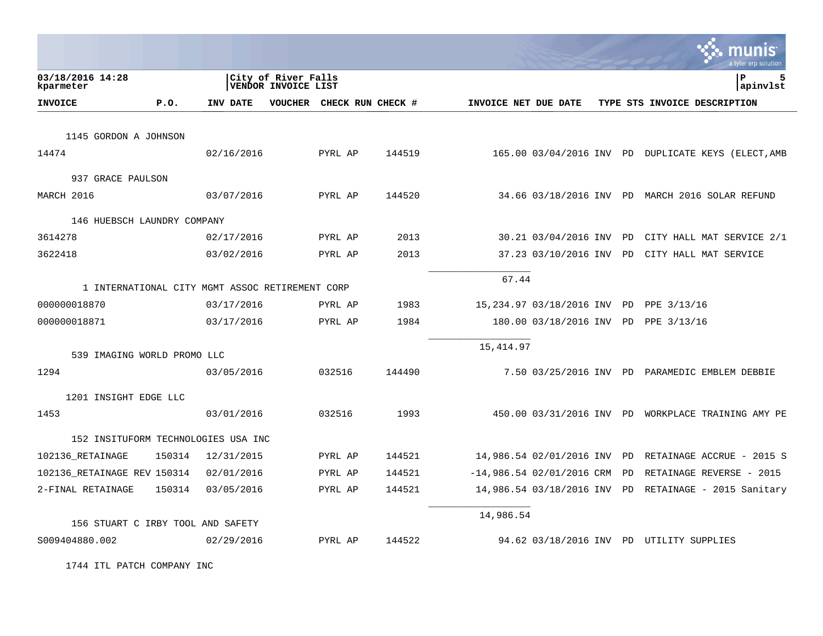|                                     |        |                                                 |                                            |                   |        |                      |                             |    | a tyler erp solution                                |
|-------------------------------------|--------|-------------------------------------------------|--------------------------------------------|-------------------|--------|----------------------|-----------------------------|----|-----------------------------------------------------|
| 03/18/2016 14:28<br>kparmeter       |        |                                                 | City of River Falls<br>VENDOR INVOICE LIST |                   |        |                      |                             |    | 5<br>ΙP<br>apinvlst                                 |
| <b>INVOICE</b>                      | P.O.   | <b>INV DATE</b>                                 | <b>VOUCHER</b>                             | CHECK RUN CHECK # |        | INVOICE NET DUE DATE |                             |    | TYPE STS INVOICE DESCRIPTION                        |
| 1145 GORDON A JOHNSON               |        |                                                 |                                            |                   |        |                      |                             |    |                                                     |
| 14474                               |        | 02/16/2016                                      |                                            | PYRL AP           | 144519 |                      |                             |    | 165.00 03/04/2016 INV PD DUPLICATE KEYS (ELECT, AMB |
| 937 GRACE PAULSON                   |        |                                                 |                                            |                   |        |                      |                             |    |                                                     |
| MARCH 2016                          |        | 03/07/2016                                      |                                            | PYRL AP           | 144520 |                      |                             |    | 34.66 03/18/2016 INV PD MARCH 2016 SOLAR REFUND     |
| 146 HUEBSCH LAUNDRY COMPANY         |        |                                                 |                                            |                   |        |                      |                             |    |                                                     |
| 3614278                             |        | 02/17/2016                                      |                                            | PYRL AP           | 2013   |                      | 30.21 03/04/2016 INV PD     |    | CITY HALL MAT SERVICE 2/1                           |
| 3622418                             |        | 03/02/2016                                      |                                            | PYRL AP           | 2013   |                      | 37.23 03/10/2016 INV        | PD | CITY HALL MAT SERVICE                               |
|                                     |        | 1 INTERNATIONAL CITY MGMT ASSOC RETIREMENT CORP |                                            |                   |        | 67.44                |                             |    |                                                     |
| 000000018870                        |        | 03/17/2016                                      |                                            | PYRL AP           | 1983   |                      | 15,234.97 03/18/2016 INV PD |    | PPE 3/13/16                                         |
| 000000018871                        |        | 03/17/2016                                      |                                            | PYRL AP           | 1984   |                      | 180.00 03/18/2016 INV PD    |    | PPE 3/13/16                                         |
| 539 IMAGING WORLD PROMO LLC         |        |                                                 |                                            |                   |        | 15,414.97            |                             |    |                                                     |
| 1294                                |        | 03/05/2016                                      |                                            | 032516            | 144490 |                      |                             |    | 7.50 03/25/2016 INV PD PARAMEDIC EMBLEM DEBBIE      |
| 1201 INSIGHT EDGE LLC               |        |                                                 |                                            |                   |        |                      |                             |    |                                                     |
| 1453                                |        | 03/01/2016                                      |                                            | 032516            | 1993   |                      |                             |    | 450.00 03/31/2016 INV PD WORKPLACE TRAINING AMY PE  |
| 152 INSITUFORM TECHNOLOGIES USA INC |        |                                                 |                                            |                   |        |                      |                             |    |                                                     |
| 102136_RETAINAGE                    | 150314 | 12/31/2015                                      |                                            | PYRL AP           | 144521 |                      | 14,986.54 02/01/2016 INV    | PD | RETAINAGE ACCRUE - 2015 S                           |
| 102136 RETAINAGE REV 150314         |        | 02/01/2016                                      |                                            | PYRL AP           | 144521 |                      | $-14,986.54$ 02/01/2016 CRM | PD | RETAINAGE REVERSE - 2015                            |
| 2-FINAL RETAINAGE                   | 150314 | 03/05/2016                                      |                                            | PYRL AP           | 144521 |                      | 14,986.54 03/18/2016 INV PD |    | RETAINAGE - 2015 Sanitary                           |
|                                     |        |                                                 |                                            |                   |        | 14,986.54            |                             |    |                                                     |
| 156 STUART C IRBY TOOL AND SAFETY   |        |                                                 |                                            |                   |        |                      |                             |    |                                                     |
| S009404880.002                      |        | 02/29/2016                                      |                                            | PYRL AP           | 144522 |                      |                             |    | 94.62 03/18/2016 INV PD UTILITY SUPPLIES            |

1744 ITL PATCH COMPANY INC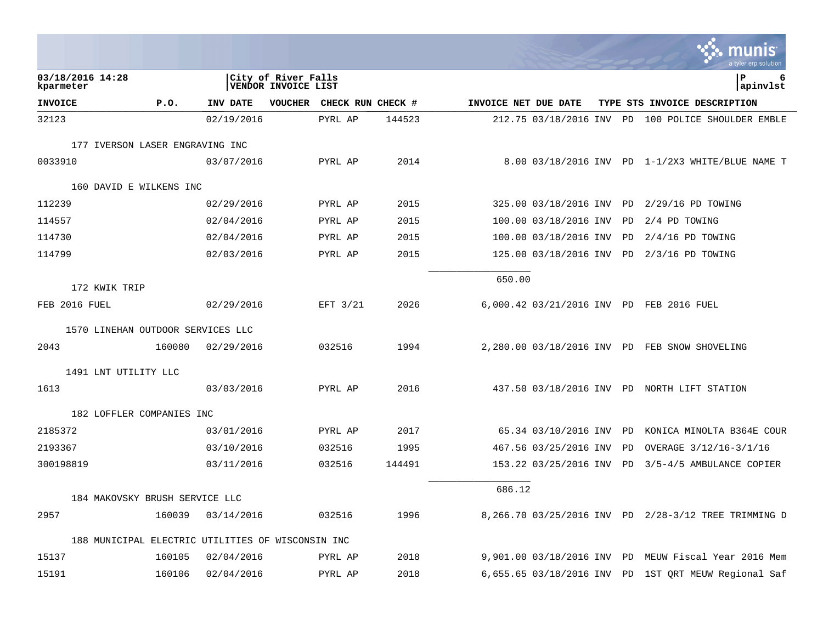|                                                   |        |            |                                            |                   |        |                      |                            |           | INIS<br>a tyler erp solutior                         |
|---------------------------------------------------|--------|------------|--------------------------------------------|-------------------|--------|----------------------|----------------------------|-----------|------------------------------------------------------|
| 03/18/2016 14:28<br>kparmeter                     |        |            | City of River Falls<br>VENDOR INVOICE LIST |                   |        |                      |                            |           | lР<br>6<br>apinvlst                                  |
| <b>INVOICE</b>                                    | P.O.   | INV DATE   | <b>VOUCHER</b>                             | CHECK RUN CHECK # |        | INVOICE NET DUE DATE |                            |           | TYPE STS INVOICE DESCRIPTION                         |
| 32123                                             |        | 02/19/2016 |                                            | PYRL AP           | 144523 |                      |                            |           | 212.75 03/18/2016 INV PD 100 POLICE SHOULDER EMBLE   |
| 177 IVERSON LASER ENGRAVING INC                   |        |            |                                            |                   |        |                      |                            |           |                                                      |
| 0033910                                           |        | 03/07/2016 |                                            | PYRL AP           | 2014   |                      |                            |           | 8.00 03/18/2016 INV PD 1-1/2X3 WHITE/BLUE NAME T     |
| 160 DAVID E WILKENS INC                           |        |            |                                            |                   |        |                      |                            |           |                                                      |
| 112239                                            |        | 02/29/2016 |                                            | PYRL AP           | 2015   |                      |                            |           | 325.00 03/18/2016 INV PD 2/29/16 PD TOWING           |
| 114557                                            |        | 02/04/2016 |                                            | PYRL AP           | 2015   |                      | 100.00 03/18/2016 INV      | PD        | 2/4 PD TOWING                                        |
| 114730                                            |        | 02/04/2016 |                                            | PYRL AP           | 2015   |                      | 100.00 03/18/2016 INV      | <b>PD</b> | $2/4/16$ PD TOWING                                   |
| 114799                                            |        | 02/03/2016 |                                            | PYRL AP           | 2015   |                      |                            |           | 125.00 03/18/2016 INV PD 2/3/16 PD TOWING            |
| 172 KWIK TRIP                                     |        |            |                                            |                   |        | 650.00               |                            |           |                                                      |
| FEB 2016 FUEL                                     |        | 02/29/2016 |                                            | EFT 3/21          | 2026   |                      |                            |           | 6,000.42 03/21/2016 INV PD FEB 2016 FUEL             |
| 1570 LINEHAN OUTDOOR SERVICES LLC                 |        |            |                                            |                   |        |                      |                            |           |                                                      |
| 2043                                              | 160080 | 02/29/2016 |                                            | 032516            | 1994   |                      |                            |           | 2,280.00 03/18/2016 INV PD FEB SNOW SHOVELING        |
| 1491 LNT UTILITY LLC                              |        |            |                                            |                   |        |                      |                            |           |                                                      |
| 1613                                              |        | 03/03/2016 |                                            | PYRL AP           | 2016   |                      |                            |           | 437.50 03/18/2016 INV PD NORTH LIFT STATION          |
| 182 LOFFLER COMPANIES INC                         |        |            |                                            |                   |        |                      |                            |           |                                                      |
| 2185372                                           |        | 03/01/2016 |                                            | PYRL AP           | 2017   |                      | 65.34 03/10/2016 INV PD    |           | KONICA MINOLTA B364E COUR                            |
| 2193367                                           |        | 03/10/2016 |                                            | 032516            | 1995   |                      | 467.56 03/25/2016 INV      | PD        | OVERAGE 3/12/16-3/1/16                               |
| 300198819                                         |        | 03/11/2016 |                                            | 032516            | 144491 |                      |                            |           | 153.22 03/25/2016 INV PD 3/5-4/5 AMBULANCE COPIER    |
| 184 MAKOVSKY BRUSH SERVICE LLC                    |        |            |                                            |                   |        | 686.12               |                            |           |                                                      |
| 2957                                              | 160039 | 03/14/2016 |                                            | 032516            | 1996   |                      |                            |           | 8,266.70 03/25/2016 INV PD 2/28-3/12 TREE TRIMMING D |
| 188 MUNICIPAL ELECTRIC UTILITIES OF WISCONSIN INC |        |            |                                            |                   |        |                      |                            |           |                                                      |
| 15137                                             | 160105 | 02/04/2016 |                                            | PYRL AP           | 2018   |                      | 9,901.00 03/18/2016 INV PD |           | MEUW Fiscal Year 2016 Mem                            |
| 15191                                             | 160106 | 02/04/2016 |                                            | PYRL AP           | 2018   |                      | 6,655.65 03/18/2016 INV PD |           | 1ST QRT MEUW Regional Saf                            |
|                                                   |        |            |                                            |                   |        |                      |                            |           |                                                      |

 $\mathcal{L}$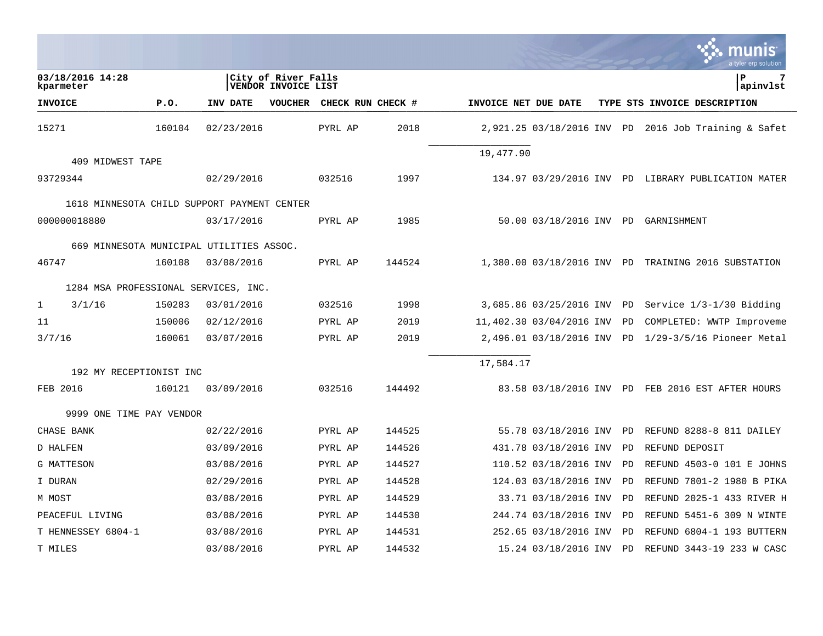|                 |                                             |        |            |                                            |                   |        |                      |                            |    | munis<br>a tyler erp solution                       |
|-----------------|---------------------------------------------|--------|------------|--------------------------------------------|-------------------|--------|----------------------|----------------------------|----|-----------------------------------------------------|
| kparmeter       | 03/18/2016 14:28                            |        |            | City of River Falls<br>VENDOR INVOICE LIST |                   |        |                      |                            |    | l P<br>7<br> apinvlst                               |
| <b>INVOICE</b>  |                                             | P.0.   | INV DATE   | VOUCHER                                    | CHECK RUN CHECK # |        | INVOICE NET DUE DATE |                            |    | TYPE STS INVOICE DESCRIPTION                        |
| 15271           |                                             | 160104 | 02/23/2016 |                                            | PYRL AP           | 2018   |                      | 2,921.25 03/18/2016 INV PD |    | 2016 Job Training & Safet                           |
|                 | 409 MIDWEST TAPE                            |        |            |                                            |                   |        | 19,477.90            |                            |    |                                                     |
|                 |                                             |        |            |                                            |                   |        |                      |                            |    |                                                     |
| 93729344        |                                             |        | 02/29/2016 |                                            | 032516            | 1997   |                      |                            |    | 134.97 03/29/2016 INV PD LIBRARY PUBLICATION MATER  |
|                 | 1618 MINNESOTA CHILD SUPPORT PAYMENT CENTER |        |            |                                            |                   |        |                      |                            |    |                                                     |
|                 | 000000018880                                |        | 03/17/2016 |                                            | PYRL AP           | 1985   |                      |                            |    | 50.00 03/18/2016 INV PD GARNISHMENT                 |
|                 |                                             |        |            |                                            |                   |        |                      |                            |    |                                                     |
|                 | 669 MINNESOTA MUNICIPAL UTILITIES ASSOC.    |        |            |                                            |                   |        |                      |                            |    |                                                     |
| 46747           |                                             | 160108 | 03/08/2016 |                                            | PYRL AP           | 144524 |                      |                            |    | 1,380.00 03/18/2016 INV PD TRAINING 2016 SUBSTATION |
|                 | 1284 MSA PROFESSIONAL SERVICES, INC.        |        |            |                                            |                   |        |                      |                            |    |                                                     |
| $\mathbf{1}$    | 3/1/16                                      | 150283 | 03/01/2016 |                                            | 032516            | 1998   |                      | 3,685.86 03/25/2016 INV    | PD | Service 1/3-1/30 Bidding                            |
| 11              |                                             | 150006 | 02/12/2016 |                                            | PYRL AP           | 2019   |                      | 11,402.30 03/04/2016 INV   | PD | COMPLETED: WWTP Improveme                           |
| 3/7/16          |                                             | 160061 | 03/07/2016 |                                            | PYRL AP           | 2019   |                      | 2,496.01 03/18/2016 INV    | PD | $1/29-3/5/16$ Pioneer Metal                         |
|                 |                                             |        |            |                                            |                   |        |                      |                            |    |                                                     |
|                 | 192 MY RECEPTIONIST INC                     |        |            |                                            |                   |        | 17,584.17            |                            |    |                                                     |
| FEB 2016        |                                             | 160121 | 03/09/2016 |                                            | 032516            | 144492 |                      |                            |    | 83.58 03/18/2016 INV PD FEB 2016 EST AFTER HOURS    |
|                 | 9999 ONE TIME PAY VENDOR                    |        |            |                                            |                   |        |                      |                            |    |                                                     |
| CHASE BANK      |                                             |        | 02/22/2016 |                                            | PYRL AP           | 144525 |                      | 55.78 03/18/2016 INV       | PD | REFUND 8288-8 811 DAILEY                            |
| <b>D HALFEN</b> |                                             |        | 03/09/2016 |                                            | PYRL AP           | 144526 |                      | 431.78 03/18/2016 INV      | PD | REFUND DEPOSIT                                      |
| G MATTESON      |                                             |        | 03/08/2016 |                                            | PYRL AP           | 144527 |                      | 110.52 03/18/2016 INV      | PD | REFUND 4503-0 101 E JOHNS                           |
| I DURAN         |                                             |        | 02/29/2016 |                                            | PYRL AP           | 144528 |                      | 124.03 03/18/2016 INV      | PD | REFUND 7801-2 1980 B PIKA                           |
| M MOST          |                                             |        | 03/08/2016 |                                            | PYRL AP           | 144529 |                      | 33.71 03/18/2016 INV       | PD | REFUND 2025-1 433 RIVER H                           |
|                 | PEACEFUL LIVING                             |        | 03/08/2016 |                                            | PYRL AP           | 144530 |                      | 244.74 03/18/2016 INV      | PD | REFUND 5451-6 309 N WINTE                           |
|                 | T HENNESSEY 6804-1                          |        | 03/08/2016 |                                            | PYRL AP           | 144531 |                      | 252.65 03/18/2016 INV      | PD | REFUND 6804-1 193 BUTTERN                           |
| T MILES         |                                             |        | 03/08/2016 |                                            | PYRL AP           | 144532 |                      | 15.24 03/18/2016 INV       | PD | REFUND 3443-19 233 W CASC                           |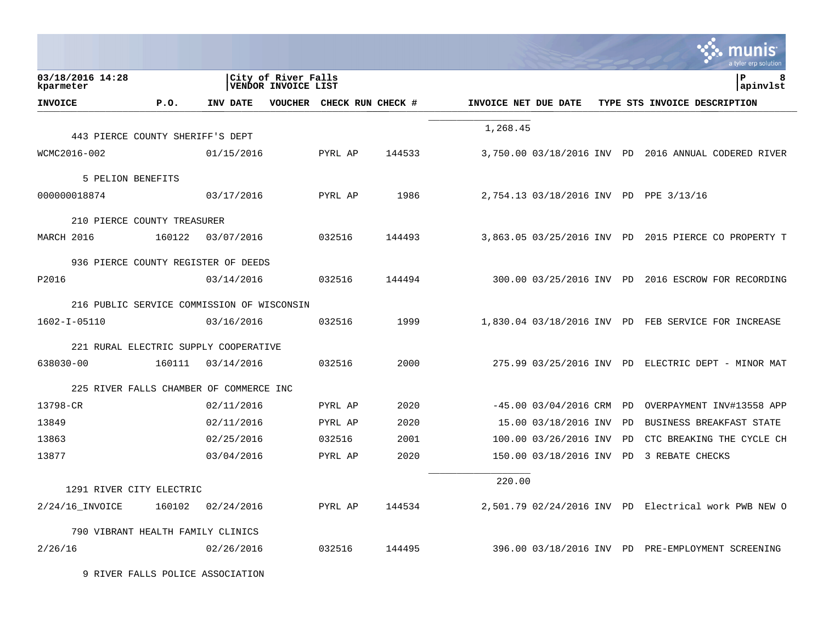|                                            |        |            |                                                   |                   |        |                      |                            |    | a tyler erp solution                                 |
|--------------------------------------------|--------|------------|---------------------------------------------------|-------------------|--------|----------------------|----------------------------|----|------------------------------------------------------|
| 03/18/2016 14:28<br>kparmeter              |        |            | City of River Falls<br><b>VENDOR INVOICE LIST</b> |                   |        |                      |                            |    | ΙP<br>8<br>apinvlst                                  |
| <b>INVOICE</b>                             | P.0.   | INV DATE   | VOUCHER                                           | CHECK RUN CHECK # |        | INVOICE NET DUE DATE |                            |    | TYPE STS INVOICE DESCRIPTION                         |
|                                            |        |            |                                                   |                   |        | 1,268.45             |                            |    |                                                      |
| 443 PIERCE COUNTY SHERIFF'S DEPT           |        |            |                                                   |                   |        |                      |                            |    |                                                      |
| WCMC2016-002                               |        | 01/15/2016 |                                                   | PYRL AP           | 144533 |                      |                            |    | 3,750.00 03/18/2016 INV PD 2016 ANNUAL CODERED RIVER |
| 5 PELION BENEFITS                          |        |            |                                                   |                   |        |                      |                            |    |                                                      |
| 000000018874                               |        | 03/17/2016 |                                                   | PYRL AP           | 1986   |                      |                            |    | 2,754.13 03/18/2016 INV PD PPE 3/13/16               |
| 210 PIERCE COUNTY TREASURER                |        |            |                                                   |                   |        |                      |                            |    |                                                      |
| MARCH 2016                                 | 160122 | 03/07/2016 |                                                   | 032516            | 144493 |                      |                            |    | 3,863.05 03/25/2016 INV PD 2015 PIERCE CO PROPERTY T |
|                                            |        |            |                                                   |                   |        |                      |                            |    |                                                      |
| 936 PIERCE COUNTY REGISTER OF DEEDS        |        |            |                                                   |                   |        |                      |                            |    |                                                      |
| P2016                                      |        | 03/14/2016 |                                                   | 032516            | 144494 |                      |                            |    | 300.00 03/25/2016 INV PD 2016 ESCROW FOR RECORDING   |
| 216 PUBLIC SERVICE COMMISSION OF WISCONSIN |        |            |                                                   |                   |        |                      |                            |    |                                                      |
| 1602-I-05110                               |        | 03/16/2016 |                                                   | 032516            | 1999   |                      |                            |    | 1,830.04 03/18/2016 INV PD FEB SERVICE FOR INCREASE  |
|                                            |        |            |                                                   |                   |        |                      |                            |    |                                                      |
| 221 RURAL ELECTRIC SUPPLY COOPERATIVE      |        |            |                                                   | 032516            | 2000   |                      |                            |    | 275.99 03/25/2016 INV PD ELECTRIC DEPT - MINOR MAT   |
| 638030-00                                  | 160111 | 03/14/2016 |                                                   |                   |        |                      |                            |    |                                                      |
| 225 RIVER FALLS CHAMBER OF COMMERCE INC    |        |            |                                                   |                   |        |                      |                            |    |                                                      |
| 13798-CR                                   |        | 02/11/2016 |                                                   | PYRL AP           | 2020   |                      | $-45.00$ 03/04/2016 CRM PD |    | OVERPAYMENT INV#13558 APP                            |
| 13849                                      |        | 02/11/2016 |                                                   | PYRL AP           | 2020   |                      | 15.00 03/18/2016 INV       | PD | BUSINESS BREAKFAST STATE                             |
| 13863                                      |        | 02/25/2016 |                                                   | 032516            | 2001   |                      | 100.00 03/26/2016 INV      | PD | CTC BREAKING THE CYCLE CH                            |
| 13877                                      |        | 03/04/2016 |                                                   | PYRL AP           | 2020   |                      | 150.00 03/18/2016 INV PD   |    | 3 REBATE CHECKS                                      |
|                                            |        |            |                                                   |                   |        | 220.00               |                            |    |                                                      |
| 1291 RIVER CITY ELECTRIC                   |        |            |                                                   |                   |        |                      |                            |    |                                                      |
| $2/24/16$ INVOICE                          | 160102 | 02/24/2016 |                                                   | PYRL AP           | 144534 |                      |                            |    | 2,501.79 02/24/2016 INV PD Electrical work PWB NEW O |
| 790 VIBRANT HEALTH FAMILY CLINICS          |        |            |                                                   |                   |        |                      |                            |    |                                                      |
| 2/26/16                                    |        | 02/26/2016 |                                                   | 032516            | 144495 |                      |                            |    | 396.00 03/18/2016 INV PD PRE-EMPLOYMENT SCREENING    |

9 RIVER FALLS POLICE ASSOCIATION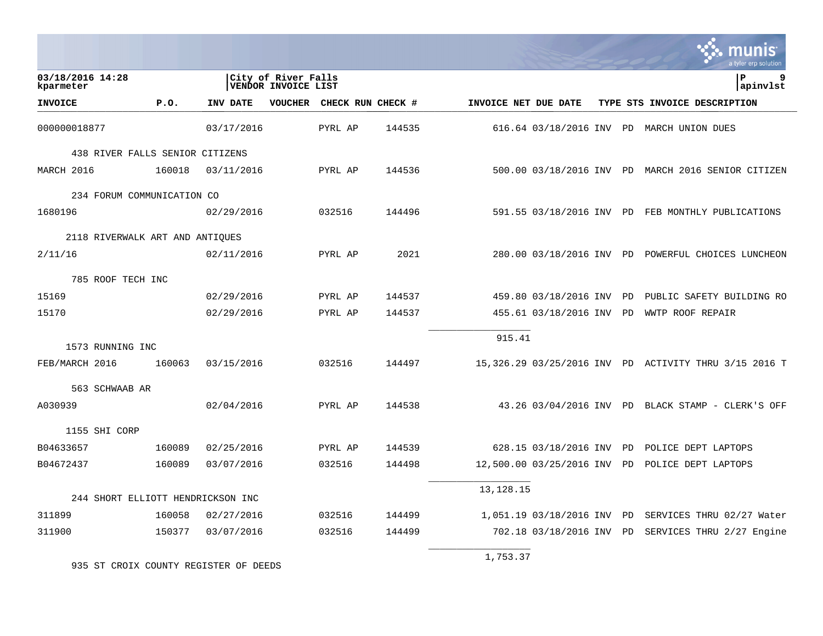|                                       |        |            |                                            |                   |        |                      |                            |    | <u>MUNIS</u><br>a tyler erp solution                  |
|---------------------------------------|--------|------------|--------------------------------------------|-------------------|--------|----------------------|----------------------------|----|-------------------------------------------------------|
| 03/18/2016 14:28<br>kparmeter         |        |            | City of River Falls<br>VENDOR INVOICE LIST |                   |        |                      |                            |    | lР<br> apinvlst                                       |
| <b>INVOICE</b>                        | P.0.   | INV DATE   | VOUCHER                                    | CHECK RUN CHECK # |        | INVOICE NET DUE DATE |                            |    | TYPE STS INVOICE DESCRIPTION                          |
| 000000018877                          |        | 03/17/2016 |                                            | PYRL AP           | 144535 |                      |                            |    | 616.64 03/18/2016 INV PD MARCH UNION DUES             |
| 438 RIVER FALLS SENIOR CITIZENS       |        |            |                                            |                   |        |                      |                            |    |                                                       |
| MARCH 2016                            | 160018 | 03/11/2016 |                                            | PYRL AP           | 144536 |                      |                            |    | 500.00 03/18/2016 INV PD MARCH 2016 SENIOR CITIZEN    |
| 234 FORUM COMMUNICATION CO            |        |            |                                            |                   |        |                      |                            |    |                                                       |
| 1680196                               |        | 02/29/2016 |                                            | 032516            | 144496 |                      |                            |    | 591.55 03/18/2016 INV PD FEB MONTHLY PUBLICATIONS     |
| 2118 RIVERWALK ART AND ANTIOUES       |        |            |                                            |                   |        |                      |                            |    |                                                       |
| 2/11/16                               |        | 02/11/2016 |                                            | PYRL AP           | 2021   |                      |                            |    | 280.00 03/18/2016 INV PD POWERFUL CHOICES LUNCHEON    |
|                                       |        |            |                                            |                   |        |                      |                            |    |                                                       |
| 785 ROOF TECH INC                     |        |            |                                            |                   |        |                      |                            |    |                                                       |
| 15169                                 |        | 02/29/2016 |                                            | PYRL AP           | 144537 |                      | 459.80 03/18/2016 INV PD   |    | PUBLIC SAFETY BUILDING RO                             |
| 15170                                 |        | 02/29/2016 |                                            | PYRL AP           | 144537 |                      | 455.61 03/18/2016 INV PD   |    | WWTP ROOF REPAIR                                      |
|                                       |        |            |                                            |                   |        | 915.41               |                            |    |                                                       |
| 1573 RUNNING INC<br>FEB/MARCH 2016    | 160063 | 03/15/2016 |                                            | 032516            | 144497 |                      |                            |    | 15,326.29 03/25/2016 INV PD ACTIVITY THRU 3/15 2016 T |
|                                       |        |            |                                            |                   |        |                      |                            |    |                                                       |
| 563 SCHWAAB AR                        |        |            |                                            |                   |        |                      |                            |    |                                                       |
| A030939                               |        | 02/04/2016 |                                            | PYRL AP           | 144538 |                      |                            |    | 43.26 03/04/2016 INV PD BLACK STAMP - CLERK'S OFF     |
| 1155 SHI CORP                         |        |            |                                            |                   |        |                      |                            |    |                                                       |
| B04633657                             | 160089 | 02/25/2016 |                                            | PYRL AP           | 144539 |                      | 628.15 03/18/2016 INV PD   |    | POLICE DEPT LAPTOPS                                   |
| B04672437                             | 160089 | 03/07/2016 |                                            | 032516            | 144498 |                      | 12,500.00 03/25/2016 INV   | PD | POLICE DEPT LAPTOPS                                   |
|                                       |        |            |                                            |                   |        | 13, 128. 15          |                            |    |                                                       |
| 244 SHORT ELLIOTT HENDRICKSON INC     |        |            |                                            |                   |        |                      |                            |    |                                                       |
| 311899                                | 160058 | 02/27/2016 |                                            | 032516            | 144499 |                      | 1,051.19 03/18/2016 INV PD |    | SERVICES THRU 02/27 Water                             |
| 311900                                | 150377 | 03/07/2016 |                                            | 032516            | 144499 |                      | 702.18 03/18/2016 INV PD   |    | SERVICES THRU 2/27 Engine                             |
| 935 ST CROIX COUNTY REGISTER OF DEEDS |        |            |                                            |                   |        | 1,753.37             |                            |    |                                                       |

 $\mathcal{L}$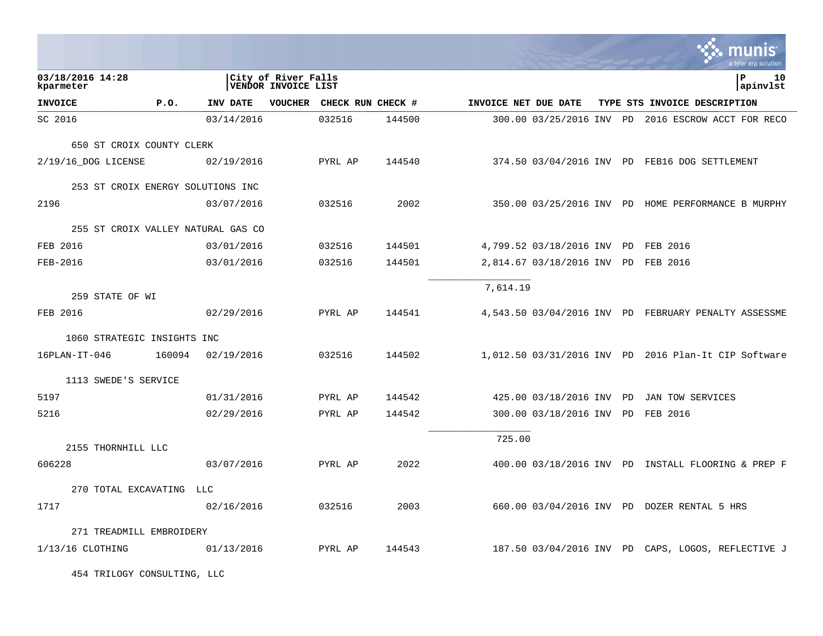|                                    |            |                                            |                   |        |                      |                                   |  | <b>C.</b> Thunis<br>a tyler erp solution             |
|------------------------------------|------------|--------------------------------------------|-------------------|--------|----------------------|-----------------------------------|--|------------------------------------------------------|
| 03/18/2016 14:28<br>kparmeter      |            | City of River Falls<br>VENDOR INVOICE LIST |                   |        |                      |                                   |  | lР<br>10<br>apinvlst                                 |
| <b>INVOICE</b><br>P.0.             | INV DATE   | <b>VOUCHER</b>                             | CHECK RUN CHECK # |        | INVOICE NET DUE DATE |                                   |  | TYPE STS INVOICE DESCRIPTION                         |
| SC 2016                            | 03/14/2016 |                                            | 032516            | 144500 |                      |                                   |  | 300.00 03/25/2016 INV PD 2016 ESCROW ACCT FOR RECO   |
| 650 ST CROIX COUNTY CLERK          |            |                                            |                   |        |                      |                                   |  |                                                      |
| 2/19/16 DOG LICENSE                | 02/19/2016 |                                            | PYRL AP           | 144540 |                      |                                   |  | 374.50 03/04/2016 INV PD FEB16 DOG SETTLEMENT        |
| 253 ST CROIX ENERGY SOLUTIONS INC  |            |                                            |                   |        |                      |                                   |  |                                                      |
| 2196                               | 03/07/2016 |                                            | 032516            | 2002   |                      |                                   |  | 350.00 03/25/2016 INV PD HOME PERFORMANCE B MURPHY   |
| 255 ST CROIX VALLEY NATURAL GAS CO |            |                                            |                   |        |                      |                                   |  |                                                      |
| FEB 2016                           | 03/01/2016 |                                            | 032516            | 144501 |                      | 4,799.52 03/18/2016 INV PD        |  | FEB 2016                                             |
| FEB-2016                           | 03/01/2016 |                                            | 032516            | 144501 |                      | 2,814.67 03/18/2016 INV PD        |  | FEB 2016                                             |
|                                    |            |                                            |                   |        | 7,614.19             |                                   |  |                                                      |
| 259 STATE OF WI                    |            |                                            |                   |        |                      |                                   |  |                                                      |
| FEB 2016                           | 02/29/2016 |                                            | PYRL AP           | 144541 |                      |                                   |  | 4,543.50 03/04/2016 INV PD FEBRUARY PENALTY ASSESSME |
| 1060 STRATEGIC INSIGHTS INC        |            |                                            |                   |        |                      |                                   |  |                                                      |
| $16$ PLAN-IT-046<br>160094         | 02/19/2016 |                                            | 032516            | 144502 |                      |                                   |  | 1,012.50 03/31/2016 INV PD 2016 Plan-It CIP Software |
| 1113 SWEDE'S SERVICE               |            |                                            |                   |        |                      |                                   |  |                                                      |
| 5197                               | 01/31/2016 |                                            | PYRL AP           | 144542 |                      | 425.00 03/18/2016 INV PD          |  | JAN TOW SERVICES                                     |
| 5216                               | 02/29/2016 |                                            | PYRL AP           | 144542 |                      | 300.00 03/18/2016 INV PD FEB 2016 |  |                                                      |
|                                    |            |                                            |                   |        | 725.00               |                                   |  |                                                      |
| 2155 THORNHILL LLC                 |            |                                            |                   |        |                      |                                   |  |                                                      |
| 606228                             | 03/07/2016 |                                            | PYRL AP           | 2022   |                      |                                   |  | 400.00 03/18/2016 INV PD INSTALL FLOORING & PREP F   |
| 270 TOTAL EXCAVATING LLC           |            |                                            |                   |        |                      |                                   |  |                                                      |
| 1717                               | 02/16/2016 |                                            | 032516            | 2003   |                      |                                   |  | 660.00 03/04/2016 INV PD DOZER RENTAL 5 HRS          |
| 271 TREADMILL EMBROIDERY           |            |                                            |                   |        |                      |                                   |  |                                                      |
| $1/13/16$ CLOTHING                 | 01/13/2016 |                                            | PYRL AP           | 144543 |                      |                                   |  | 187.50 03/04/2016 INV PD CAPS, LOGOS, REFLECTIVE J   |

 $\mathcal{L}$ 

454 TRILOGY CONSULTING, LLC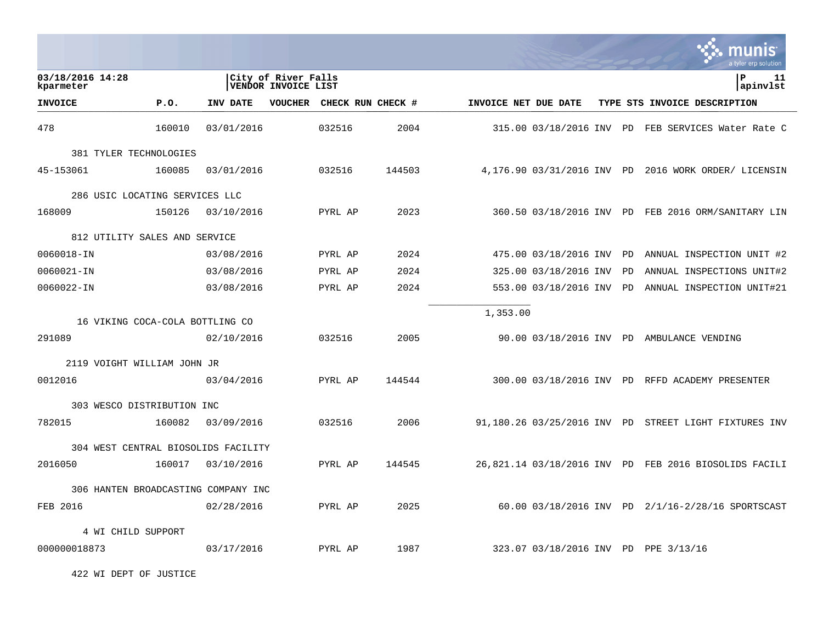|                                     |        |            |                                            |                   |        |                      |                            |           | munis<br>a tyler erp solution                         |
|-------------------------------------|--------|------------|--------------------------------------------|-------------------|--------|----------------------|----------------------------|-----------|-------------------------------------------------------|
| 03/18/2016 14:28<br>kparmeter       |        |            | City of River Falls<br>VENDOR INVOICE LIST |                   |        |                      |                            |           | l P<br>11<br>apinvlst                                 |
| <b>INVOICE</b>                      | P.O.   | INV DATE   | <b>VOUCHER</b>                             | CHECK RUN CHECK # |        | INVOICE NET DUE DATE |                            |           | TYPE STS INVOICE DESCRIPTION                          |
| 478                                 | 160010 | 03/01/2016 |                                            | 032516            | 2004   |                      |                            |           | 315.00 03/18/2016 INV PD FEB SERVICES Water Rate C    |
| 381 TYLER TECHNOLOGIES              |        |            |                                            |                   |        |                      |                            |           |                                                       |
| 45-153061                           | 160085 | 03/01/2016 |                                            | 032516            | 144503 |                      | 4,176.90 03/31/2016 INV PD |           | 2016 WORK ORDER/ LICENSIN                             |
| 286 USIC LOCATING SERVICES LLC      |        |            |                                            |                   |        |                      |                            |           |                                                       |
| 168009                              | 150126 | 03/10/2016 |                                            | PYRL AP           | 2023   |                      |                            |           | 360.50 03/18/2016 INV PD FEB 2016 ORM/SANITARY LIN    |
| 812 UTILITY SALES AND SERVICE       |        |            |                                            |                   |        |                      |                            |           |                                                       |
| 0060018-IN                          |        | 03/08/2016 |                                            | PYRL AP           | 2024   |                      | 475.00 03/18/2016 INV      | <b>PD</b> | ANNUAL INSPECTION UNIT #2                             |
| 0060021-IN                          |        | 03/08/2016 |                                            | PYRL AP           | 2024   |                      | 325.00 03/18/2016 INV      | PD.       | ANNUAL INSPECTIONS UNIT#2                             |
| 0060022-IN                          |        | 03/08/2016 |                                            | PYRL AP           | 2024   |                      | 553.00 03/18/2016 INV      | PD        | ANNUAL INSPECTION UNIT#21                             |
| 16 VIKING COCA-COLA BOTTLING CO     |        |            |                                            |                   |        | 1,353.00             |                            |           |                                                       |
| 291089                              |        | 02/10/2016 |                                            | 032516            | 2005   |                      |                            |           | 90.00 03/18/2016 INV PD AMBULANCE VENDING             |
| 2119 VOIGHT WILLIAM JOHN JR         |        |            |                                            |                   |        |                      |                            |           |                                                       |
| 0012016                             |        | 03/04/2016 |                                            | PYRL AP           | 144544 |                      |                            |           | 300.00 03/18/2016 INV PD RFFD ACADEMY PRESENTER       |
| 303 WESCO DISTRIBUTION INC          |        |            |                                            |                   |        |                      |                            |           |                                                       |
| 782015                              | 160082 | 03/09/2016 |                                            | 032516            | 2006   |                      |                            |           | 91,180.26 03/25/2016 INV PD STREET LIGHT FIXTURES INV |
| 304 WEST CENTRAL BIOSOLIDS FACILITY |        |            |                                            |                   |        |                      |                            |           |                                                       |
| 2016050                             | 160017 | 03/10/2016 |                                            | PYRL AP           | 144545 |                      |                            |           | 26,821.14 03/18/2016 INV PD FEB 2016 BIOSOLIDS FACILI |
| 306 HANTEN BROADCASTING COMPANY INC |        |            |                                            |                   |        |                      |                            |           |                                                       |
| FEB 2016                            |        | 02/28/2016 |                                            | PYRL AP           | 2025   |                      |                            |           | 60.00 03/18/2016 INV PD 2/1/16-2/28/16 SPORTSCAST     |
| 4 WI CHILD SUPPORT                  |        |            |                                            |                   |        |                      |                            |           |                                                       |
| 000000018873                        |        | 03/17/2016 |                                            | PYRL AP           | 1987   |                      |                            |           | 323.07 03/18/2016 INV PD PPE 3/13/16                  |

 $\mathcal{L}$ 

422 WI DEPT OF JUSTICE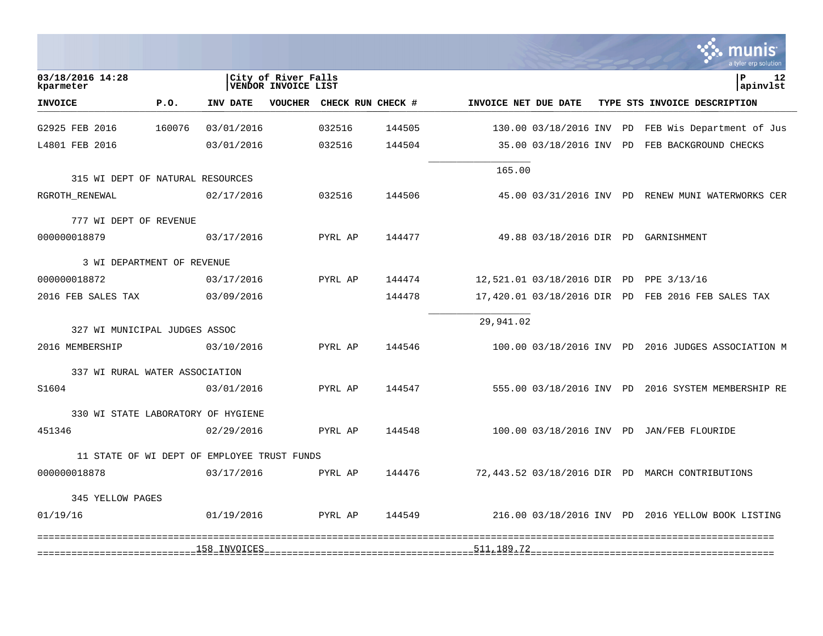|                                                  |        |              |                                            |                           |                                     |                      |                             |    | a tyler erp solution                               |
|--------------------------------------------------|--------|--------------|--------------------------------------------|---------------------------|-------------------------------------|----------------------|-----------------------------|----|----------------------------------------------------|
| 03/18/2016 14:28<br>kparmeter                    |        |              | City of River Falls<br>VENDOR INVOICE LIST |                           |                                     |                      |                             |    | l P<br>12<br>apinvlst                              |
| <b>INVOICE</b>                                   | P.0.   | INV DATE     |                                            | VOUCHER CHECK RUN CHECK # |                                     | INVOICE NET DUE DATE |                             |    | TYPE STS INVOICE DESCRIPTION                       |
| G2925 FEB 2016                                   | 160076 | 03/01/2016   |                                            | 032516                    | 144505                              |                      | 130.00 03/18/2016 INV       | PD | FEB Wis Department of Jus                          |
| L4801 FEB 2016                                   |        | 03/01/2016   |                                            | 032516                    | 144504                              |                      | 35.00 03/18/2016 INV PD     |    | FEB BACKGROUND CHECKS                              |
| 315 WI DEPT OF NATURAL RESOURCES                 |        |              |                                            |                           |                                     | 165.00               |                             |    |                                                    |
| RGROTH RENEWAL                                   |        | 02/17/2016   |                                            | 032516                    | 144506                              |                      |                             |    | 45.00 03/31/2016 INV PD RENEW MUNI WATERWORKS CER  |
| 777 WI DEPT OF REVENUE                           |        |              |                                            |                           |                                     |                      |                             |    |                                                    |
| 000000018879                                     |        | 03/17/2016   |                                            | PYRL AP                   | 144477                              |                      |                             |    | 49.88 03/18/2016 DIR PD GARNISHMENT                |
| 3 WI DEPARTMENT OF REVENUE                       |        |              |                                            |                           |                                     |                      |                             |    |                                                    |
| 000000018872                                     |        | 03/17/2016   |                                            | PYRL AP                   | 144474                              |                      | 12,521.01 03/18/2016 DIR PD |    | PPE 3/13/16                                        |
| 2016 FEB SALES TAX                               |        | 03/09/2016   |                                            |                           | 144478                              |                      | 17,420.01 03/18/2016 DIR PD |    | FEB 2016 FEB SALES TAX                             |
|                                                  |        |              |                                            |                           |                                     | 29,941.02            |                             |    |                                                    |
| 327 WI MUNICIPAL JUDGES ASSOC<br>2016 MEMBERSHIP |        | 03/10/2016   |                                            | PYRL AP                   | 144546                              |                      |                             |    | 100.00 03/18/2016 INV PD 2016 JUDGES ASSOCIATION M |
|                                                  |        |              |                                            |                           |                                     |                      |                             |    |                                                    |
| 337 WI RURAL WATER ASSOCIATION<br>S1604          |        | 03/01/2016   |                                            | PYRL AP                   | 144547                              |                      |                             |    | 555.00 03/18/2016 INV PD 2016 SYSTEM MEMBERSHIP RE |
|                                                  |        |              |                                            |                           |                                     |                      |                             |    |                                                    |
| 330 WI STATE LABORATORY OF HYGIENE<br>451346     |        | 02/29/2016   |                                            | PYRL AP                   | 144548                              |                      |                             |    | 100.00 03/18/2016 INV PD JAN/FEB FLOURIDE          |
|                                                  |        |              |                                            |                           |                                     |                      |                             |    |                                                    |
| 11 STATE OF WI DEPT OF EMPLOYEE TRUST FUNDS      |        |              |                                            |                           |                                     |                      |                             |    |                                                    |
| 000000018878                                     |        | 03/17/2016   |                                            | PYRL AP                   | 144476                              |                      |                             |    | 72,443.52 03/18/2016 DIR PD MARCH CONTRIBUTIONS    |
| 345 YELLOW PAGES                                 |        |              |                                            |                           |                                     |                      |                             |    |                                                    |
| 01/19/16                                         |        | 01/19/2016   |                                            | PYRL AP                   | 144549                              |                      |                             |    | 216.00 03/18/2016 INV PD 2016 YELLOW BOOK LISTING  |
|                                                  |        | 158_INVOICES |                                            |                           |                                     |                      |                             |    |                                                    |
| ============================                     |        |              |                                            |                           | =================================== |                      |                             |    |                                                    |

**College**